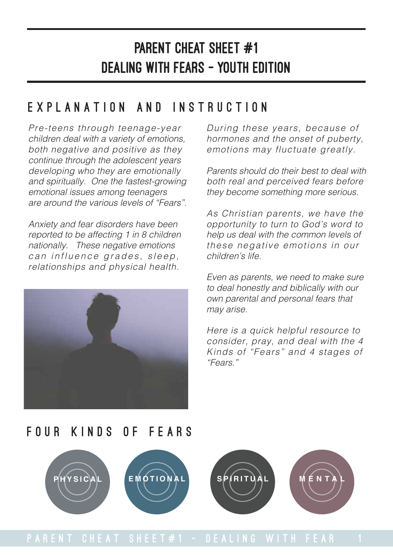#### Explanation and Instruction

Pre-teens through teenage-year children deal with a variety of emotions, both negative and positive as they continue through the adolescent years developing who they are emotionally and spiritually. One the fastest-growing emotional issues among teenagers are around the various levels of "Fears".

Anxiety and fear disorders have been reported to be affecting 1 in 8 children nationally. These negative emotions can influence grades, sleep, relationships and physical health.



During these years, because of hormones and the onset of puberty, emotions may fluctuate greatly.

Parents should do their best to deal with both real and perceived fears before they become something more serious.

As Christian parents, we have the opportunity to turn to God's word to help us deal with the common levels of these negative emotions in our children's life.

Even as parents, we need to make sure to deal honestly and biblically with our own parental and personal fears that may arise.

Here is a quick helpful resource to consider, pray, and deal with the 4 Kinds of "Fears" and 4 stages of "Fears."

#### FOUR KINDS OF FEARS

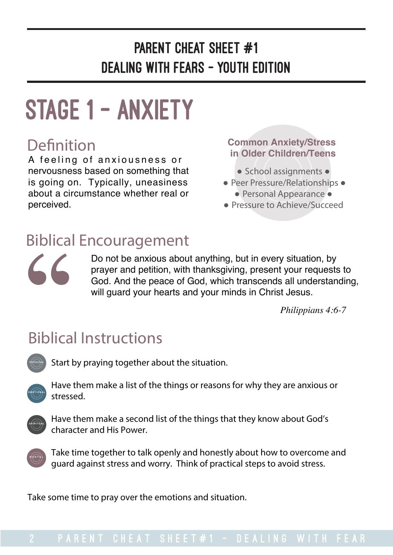# stage 1 - anxiety

#### **Definition**

A feeling of anxiousness or nervousness based on something that is going on. Typically, uneasiness about a circumstance whether real or perceived.

#### **Common Anxiety/Stress in Older Children/Teens**

- School assignments ●
- Peer Pressure/Relationships ●
- Personal Appearance ● Pressure to Achieve/Succeed

#### Biblical Encouragement

 $\angle$ 

Do not be anxious about anything, but in every situation, by prayer and petition, with thanksgiving, present your requests to God. And the peace of God, which transcends all understanding, will guard your hearts and your minds in Christ Jesus.

*Philippians 4:6-7*

## Biblical Instructions

**PHYSICAL** 

Start by praying together about the situation.



 Have them make a list of the things or reasons for why they are anxious or stressed.



 Have them make a second list of the things that they know about God's character and His Power.



 Take time together to talk openly and honestly about how to overcome and guard against stress and worry. Think of practical steps to avoid stress.

Take some time to pray over the emotions and situation.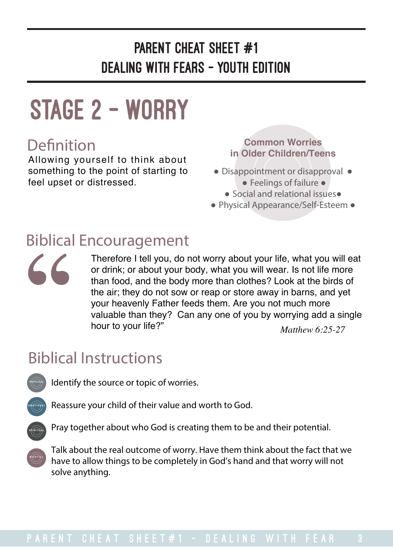# stage 2 - WORRY

#### **Definition**

Allowing yourself to think about something to the point of starting to feel upset or distressed.

**Common Worries in Older Children/Teens**

- Disappointment or disapproval ● Feelings of failure ●
	- Social and relational issues●
- Physical Appearance/Self-Esteem ●

#### Biblical Encouragement

Therefore I tell you, do not worry about your life, what you will eat or drink; or about your body, what you will wear. Is not life more than food, and the body more than clothes? Look at the birds of the air; they do not sow or reap or store away in barns, and yet your heavenly Father feeds them. Are you not much more valuable than they? Can any one of you by worrying add a single hour to your life?" *Matthew 6:25-27*

#### Biblical Instructions



 $\mathcal{L}\mathcal{L}$ 

Identify the source or topic of worries.



Reassure your child of their value and worth to God.



Pray together about who God is creating them to be and their potential.



 Talk about the real outcome of worry. Have them think about the fact that we have to allow things to be completely in God's hand and that worry will not solve anything.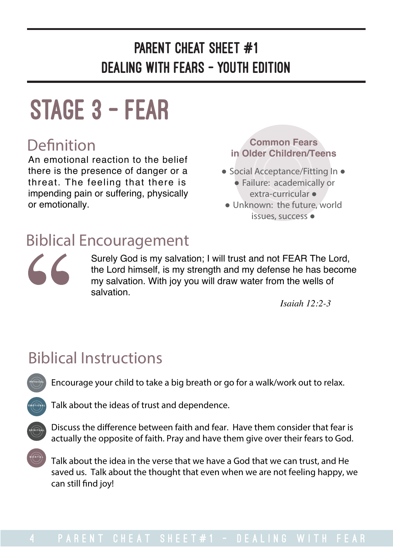# stage 3 - fear

An emotional reaction to the belief there is the presence of danger or a threat. The feeling that there is impending pain or suffering, physically or emotionally.

**Definition Common Fears in Older Children/Teens**

- Social Acceptance/Fitting In ● Failure: academically or extra-curricular ●
- Unknown: the future, world issues, success ●

#### Biblical Encouragement

 $\angle$ 

Surely God is my salvation; I will trust and not FEAR The Lord, the Lord himself, is my strength and my defense he has become my salvation. With joy you will draw water from the wells of salvation.

*Isaiah 12:2-3*

## Biblical Instructions

Encourage your child to take a big breath or go for a walk/work out to relax.





**PHYSICAL** 

**MENTAL**

 Discuss the diference between faith and fear. Have them consider that fear is actually the opposite of faith. Pray and have them give over their fears to God.

 Talk about the idea in the verse that we have a God that we can trust, and He saved us. Talk about the thought that even when we are not feeling happy, we can still fnd joy!